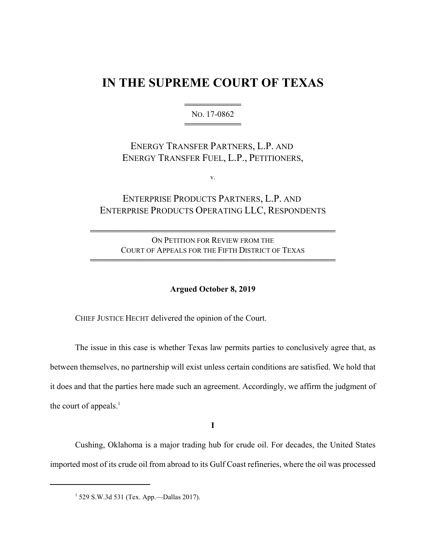## **IN THE SUPREME COURT OF TEXAS**

444444444444 NO. 17-0862 444444444444

ENERGY TRANSFER PARTNERS, L.P. AND ENERGY TRANSFER FUEL, L.P., PETITIONERS,

v.

## ENTERPRISE PRODUCTS PARTNERS, L.P. AND ENTERPRISE PRODUCTS OPERATING LLC, RESPONDENTS

ON PETITION FOR REVIEW FROM THE COURT OF APPEALS FOR THE FIFTH DISTRICT OF TEXAS 4444444444444444444444444444444444444444444444444444

4444444444444444444444444444444444444444444444444444

## **Argued October 8, 2019**

CHIEF JUSTICE HECHT delivered the opinion of the Court.

The issue in this case is whether Texas law permits parties to conclusively agree that, as between themselves, no partnership will exist unless certain conditions are satisfied. We hold that it does and that the parties here made such an agreement. Accordingly, we affirm the judgment of the court of appeals. $<sup>1</sup>$ </sup>

**I**

Cushing, Oklahoma is a major trading hub for crude oil. For decades, the United States imported most of its crude oil from abroad to its Gulf Coast refineries, where the oil was processed

<sup>1</sup> 529 S.W.3d 531 (Tex. App.—Dallas 2017).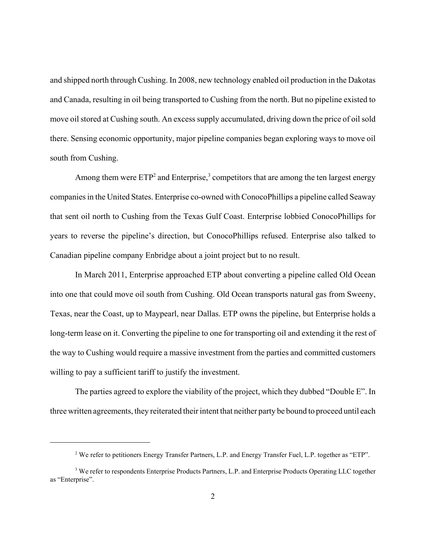and shipped north through Cushing. In 2008, new technology enabled oil production in the Dakotas and Canada, resulting in oil being transported to Cushing from the north. But no pipeline existed to move oil stored at Cushing south. An excess supply accumulated, driving down the price of oil sold there. Sensing economic opportunity, major pipeline companies began exploring ways to move oil south from Cushing.

Among them were  $ETP<sup>2</sup>$  and Enterprise,<sup>3</sup> competitors that are among the ten largest energy companies in the United States. Enterprise co-owned with ConocoPhillips a pipeline called Seaway that sent oil north to Cushing from the Texas Gulf Coast. Enterprise lobbied ConocoPhillips for years to reverse the pipeline's direction, but ConocoPhillips refused. Enterprise also talked to Canadian pipeline company Enbridge about a joint project but to no result.

In March 2011, Enterprise approached ETP about converting a pipeline called Old Ocean into one that could move oil south from Cushing. Old Ocean transports natural gas from Sweeny, Texas, near the Coast, up to Maypearl, near Dallas. ETP owns the pipeline, but Enterprise holds a long-term lease on it. Converting the pipeline to one for transporting oil and extending it the rest of the way to Cushing would require a massive investment from the parties and committed customers willing to pay a sufficient tariff to justify the investment.

The parties agreed to explore the viability of the project, which they dubbed "Double E". In three written agreements, they reiterated their intent that neither party be bound to proceed until each

<sup>&</sup>lt;sup>2</sup> We refer to petitioners Energy Transfer Partners, L.P. and Energy Transfer Fuel, L.P. together as "ETP".

<sup>&</sup>lt;sup>3</sup> We refer to respondents Enterprise Products Partners, L.P. and Enterprise Products Operating LLC together as "Enterprise".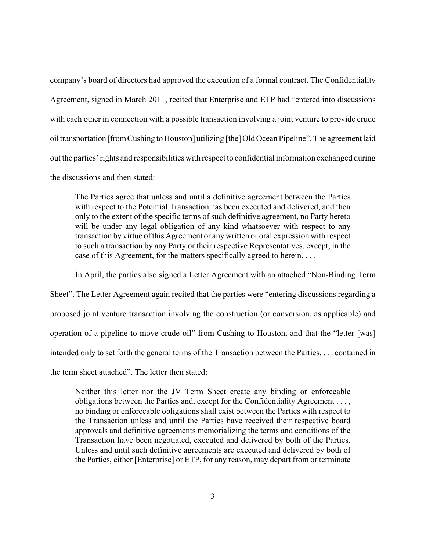company's board of directors had approved the execution of a formal contract. The Confidentiality Agreement, signed in March 2011, recited that Enterprise and ETP had "entered into discussions with each other in connection with a possible transaction involving a joint venture to provide crude oil transportation [from Cushing to Houston] utilizing [the] Old Ocean Pipeline". The agreement laid out the parties' rights and responsibilities with respect to confidential information exchanged during the discussions and then stated:

The Parties agree that unless and until a definitive agreement between the Parties with respect to the Potential Transaction has been executed and delivered, and then only to the extent of the specific terms of such definitive agreement, no Party hereto will be under any legal obligation of any kind whatsoever with respect to any transaction by virtue of this Agreement or any written or oral expression with respect to such a transaction by any Party or their respective Representatives, except, in the case of this Agreement, for the matters specifically agreed to herein. . . .

In April, the parties also signed a Letter Agreement with an attached "Non-Binding Term Sheet". The Letter Agreement again recited that the parties were "entering discussions regarding a proposed joint venture transaction involving the construction (or conversion, as applicable) and operation of a pipeline to move crude oil" from Cushing to Houston, and that the "letter [was] intended only to set forth the general terms of the Transaction between the Parties, . . . contained in the term sheet attached". The letter then stated:

Neither this letter nor the JV Term Sheet create any binding or enforceable obligations between the Parties and, except for the Confidentiality Agreement . . . , no binding or enforceable obligations shall exist between the Parties with respect to the Transaction unless and until the Parties have received their respective board approvals and definitive agreements memorializing the terms and conditions of the Transaction have been negotiated, executed and delivered by both of the Parties. Unless and until such definitive agreements are executed and delivered by both of the Parties, either [Enterprise] or ETP, for any reason, may depart from or terminate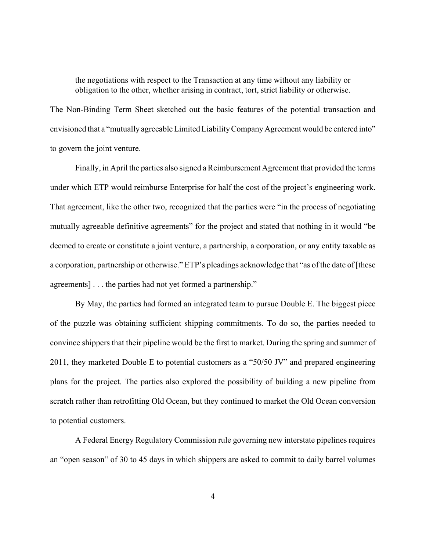the negotiations with respect to the Transaction at any time without any liability or obligation to the other, whether arising in contract, tort, strict liability or otherwise.

The Non-Binding Term Sheet sketched out the basic features of the potential transaction and envisioned that a "mutually agreeable Limited Liability Company Agreement would be entered into" to govern the joint venture.

Finally, in April the parties also signed a Reimbursement Agreement that provided the terms under which ETP would reimburse Enterprise for half the cost of the project's engineering work. That agreement, like the other two, recognized that the parties were "in the process of negotiating mutually agreeable definitive agreements" for the project and stated that nothing in it would "be deemed to create or constitute a joint venture, a partnership, a corporation, or any entity taxable as a corporation, partnership or otherwise." ETP's pleadings acknowledge that "as of the date of [these agreements] . . . the parties had not yet formed a partnership."

By May, the parties had formed an integrated team to pursue Double E. The biggest piece of the puzzle was obtaining sufficient shipping commitments. To do so, the parties needed to convince shippers that their pipeline would be the first to market. During the spring and summer of 2011, they marketed Double E to potential customers as a "50/50 JV" and prepared engineering plans for the project. The parties also explored the possibility of building a new pipeline from scratch rather than retrofitting Old Ocean, but they continued to market the Old Ocean conversion to potential customers.

A Federal Energy Regulatory Commission rule governing new interstate pipelines requires an "open season" of 30 to 45 days in which shippers are asked to commit to daily barrel volumes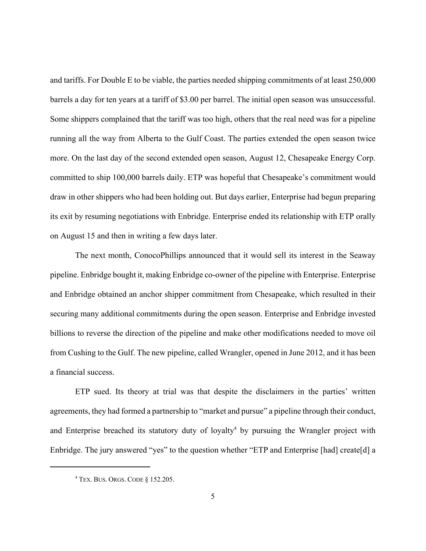and tariffs. For Double E to be viable, the parties needed shipping commitments of at least 250,000 barrels a day for ten years at a tariff of \$3.00 per barrel. The initial open season was unsuccessful. Some shippers complained that the tariff was too high, others that the real need was for a pipeline running all the way from Alberta to the Gulf Coast. The parties extended the open season twice more. On the last day of the second extended open season, August 12, Chesapeake Energy Corp. committed to ship 100,000 barrels daily. ETP was hopeful that Chesapeake's commitment would draw in other shippers who had been holding out. But days earlier, Enterprise had begun preparing its exit by resuming negotiations with Enbridge. Enterprise ended its relationship with ETP orally on August 15 and then in writing a few days later.

The next month, ConocoPhillips announced that it would sell its interest in the Seaway pipeline. Enbridge bought it, making Enbridge co-owner of the pipeline with Enterprise. Enterprise and Enbridge obtained an anchor shipper commitment from Chesapeake, which resulted in their securing many additional commitments during the open season. Enterprise and Enbridge invested billions to reverse the direction of the pipeline and make other modifications needed to move oil from Cushing to the Gulf. The new pipeline, called Wrangler, opened in June 2012, and it has been a financial success.

ETP sued. Its theory at trial was that despite the disclaimers in the parties' written agreements, they had formed a partnership to "market and pursue" a pipeline through their conduct, and Enterprise breached its statutory duty of loyalty<sup>4</sup> by pursuing the Wrangler project with Enbridge. The jury answered "yes" to the question whether "ETP and Enterprise [had] create[d] a

<sup>4</sup> TEX. BUS. ORGS. CODE § 152.205.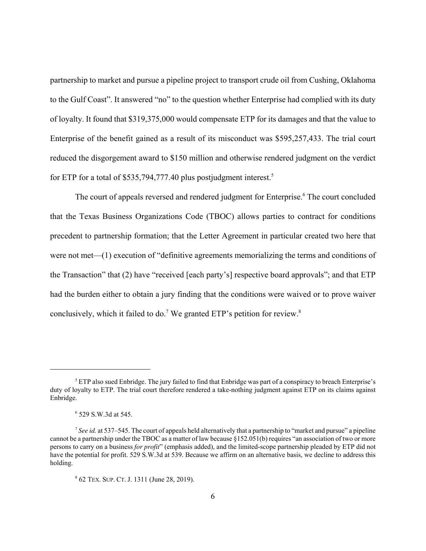partnership to market and pursue a pipeline project to transport crude oil from Cushing, Oklahoma to the Gulf Coast". It answered "no" to the question whether Enterprise had complied with its duty of loyalty. It found that \$319,375,000 would compensate ETP for its damages and that the value to Enterprise of the benefit gained as a result of its misconduct was \$595,257,433. The trial court reduced the disgorgement award to \$150 million and otherwise rendered judgment on the verdict for ETP for a total of \$535,794,777.40 plus postjudgment interest.<sup>5</sup>

The court of appeals reversed and rendered judgment for Enterprise.<sup>6</sup> The court concluded that the Texas Business Organizations Code (TBOC) allows parties to contract for conditions precedent to partnership formation; that the Letter Agreement in particular created two here that were not met—(1) execution of "definitive agreements memorializing the terms and conditions of the Transaction" that (2) have "received [each party's] respective board approvals"; and that ETP had the burden either to obtain a jury finding that the conditions were waived or to prove waiver conclusively, which it failed to do.<sup>7</sup> We granted ETP's petition for review.<sup>8</sup>

<sup>&</sup>lt;sup>5</sup> ETP also sued Enbridge. The jury failed to find that Enbridge was part of a conspiracy to breach Enterprise's duty of loyalty to ETP. The trial court therefore rendered a take-nothing judgment against ETP on its claims against Enbridge.

<sup>6</sup> 529 S.W.3d at 545.

 $^7$  *See id.* at 537–545. The court of appeals held alternatively that a partnership to "market and pursue" a pipeline cannot be a partnership under the TBOC as a matter of law because §152.051(b) requires "an association of two or more persons to carry on a business *for profit*" (emphasis added), and the limited-scope partnership pleaded by ETP did not have the potential for profit. 529 S.W.3d at 539. Because we affirm on an alternative basis, we decline to address this holding.

<sup>8</sup> 62 TEX. SUP. CT. J. 1311 (June 28, 2019).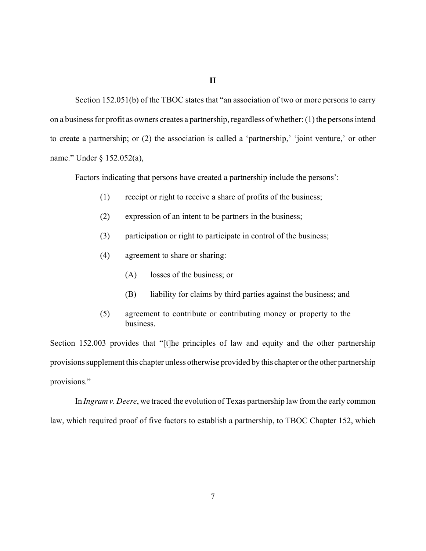## **II**

Section 152.051(b) of the TBOC states that "an association of two or more persons to carry on a business for profit as owners creates a partnership, regardless of whether: (1) the persons intend to create a partnership; or (2) the association is called a 'partnership,' 'joint venture,' or other name." Under § 152.052(a),

Factors indicating that persons have created a partnership include the persons':

- (1) receipt or right to receive a share of profits of the business;
- (2) expression of an intent to be partners in the business;
- (3) participation or right to participate in control of the business;
- (4) agreement to share or sharing:
	- (A) losses of the business; or
	- (B) liability for claims by third parties against the business; and
- (5) agreement to contribute or contributing money or property to the business.

Section 152.003 provides that "[t]he principles of law and equity and the other partnership provisions supplement this chapter unless otherwise provided by this chapter or the other partnership provisions."

In *Ingram v. Deere*, we traced the evolution of Texas partnership law from the early common law, which required proof of five factors to establish a partnership, to TBOC Chapter 152, which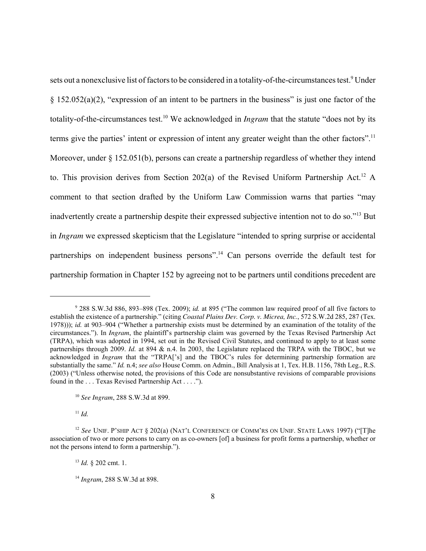sets out a nonexclusive list of factors to be considered in a totality-of-the-circumstances test.<sup>9</sup> Under  $§$  152.052(a)(2), "expression of an intent to be partners in the business" is just one factor of the totality-of-the-circumstances test.<sup>10</sup> We acknowledged in *Ingram* that the statute "does not by its terms give the parties' intent or expression of intent any greater weight than the other factors".<sup>11</sup> Moreover, under § 152.051(b), persons can create a partnership regardless of whether they intend to. This provision derives from Section 202(a) of the Revised Uniform Partnership Act.<sup>12</sup> A comment to that section drafted by the Uniform Law Commission warns that parties "may inadvertently create a partnership despite their expressed subjective intention not to do so."<sup>13</sup> But in *Ingram* we expressed skepticism that the Legislature "intended to spring surprise or accidental partnerships on independent business persons".<sup>14</sup> Can persons override the default test for partnership formation in Chapter 152 by agreeing not to be partners until conditions precedent are

<sup>11</sup> *Id.*

<sup>9</sup> 288 S.W.3d 886, 893–898 (Tex. 2009); *id.* at 895 ("The common law required proof of all five factors to establish the existence of a partnership." (citing *Coastal Plains Dev. Corp. v. Micrea, Inc.*, 572 S.W.2d 285, 287 (Tex. 1978))); *id.* at 903–904 ("Whether a partnership exists must be determined by an examination of the totality of the circumstances."). In *Ingram*, the plaintiff's partnership claim was governed by the Texas Revised Partnership Act (TRPA), which was adopted in 1994, set out in the Revised Civil Statutes, and continued to apply to at least some partnerships through 2009. *Id.* at 894 & n.4. In 2003, the Legislature replaced the TRPA with the TBOC, but we acknowledged in *Ingram* that the "TRPA['s] and the TBOC's rules for determining partnership formation are substantially the same." *Id.* n.4; *see also* House Comm. on Admin., Bill Analysis at 1, Tex. H.B. 1156, 78th Leg., R.S. (2003) ("Unless otherwise noted, the provisions of this Code are nonsubstantive revisions of comparable provisions found in the . . . Texas Revised Partnership Act . . . .").

<sup>10</sup> *See Ingram*, 288 S.W.3d at 899.

<sup>&</sup>lt;sup>12</sup> See UNIF. P'SHIP ACT § 202(a) (NAT'L CONFERENCE OF COMM'RS ON UNIF. STATE LAWS 1997) ("[T]he association of two or more persons to carry on as co-owners [of] a business for profit forms a partnership, whether or not the persons intend to form a partnership.").

<sup>13</sup> *Id.* § 202 cmt. 1.

<sup>14</sup> *Ingram*, 288 S.W.3d at 898.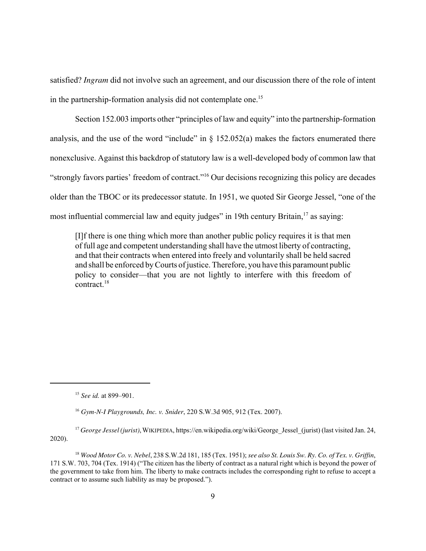satisfied? *Ingram* did not involve such an agreement, and our discussion there of the role of intent in the partnership-formation analysis did not contemplate one.<sup>15</sup>

Section 152.003 imports other "principles of law and equity" into the partnership-formation analysis, and the use of the word "include" in  $\S$  152.052(a) makes the factors enumerated there nonexclusive. Against this backdrop of statutory law is a well-developed body of common law that "strongly favors parties' freedom of contract."<sup>16</sup> Our decisions recognizing this policy are decades older than the TBOC or its predecessor statute. In 1951, we quoted Sir George Jessel, "one of the most influential commercial law and equity judges" in 19th century Britain, $17$  as saying:

[I]f there is one thing which more than another public policy requires it is that men of full age and competent understanding shall have the utmost liberty of contracting, and that their contracts when entered into freely and voluntarily shall be held sacred and shall be enforced by Courts of justice. Therefore, you have this paramount public policy to consider—that you are not lightly to interfere with this freedom of  $control<sup>18</sup>$ 

<sup>17</sup> *George Jessel (jurist)*, WIKIPEDIA, https://en.wikipedia.org/wiki/George Jessel (jurist) (last visited Jan. 24, 2020).

<sup>15</sup> *See id.* at 899–901.

<sup>16</sup> *Gym-N-I Playgrounds, Inc. v. Snider*, 220 S.W.3d 905, 912 (Tex. 2007).

<sup>18</sup> *Wood Motor Co. v. Nebel*, 238 S.W.2d 181, 185 (Tex. 1951); *see also St. Louis Sw. Ry. Co. of Tex. v. Griffin*, 171 S.W. 703, 704 (Tex. 1914) ("The citizen has the liberty of contract as a natural right which is beyond the power of the government to take from him. The liberty to make contracts includes the corresponding right to refuse to accept a contract or to assume such liability as may be proposed.").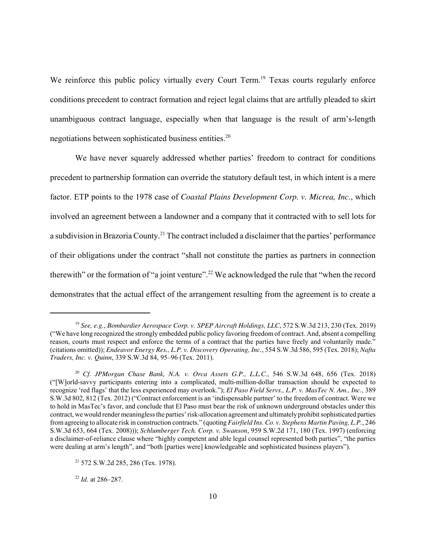We reinforce this public policy virtually every Court Term.<sup>19</sup> Texas courts regularly enforce conditions precedent to contract formation and reject legal claims that are artfully pleaded to skirt unambiguous contract language, especially when that language is the result of arm's-length negotiations between sophisticated business entities.<sup>20</sup>

We have never squarely addressed whether parties' freedom to contract for conditions precedent to partnership formation can override the statutory default test, in which intent is a mere factor. ETP points to the 1978 case of *Coastal Plains Development Corp. v. Micrea, Inc.*, which involved an agreement between a landowner and a company that it contracted with to sell lots for a subdivision in Brazoria County.<sup>21</sup> The contract included a disclaimer that the parties' performance of their obligations under the contract "shall not constitute the parties as partners in connection therewith" or the formation of "a joint venture".<sup>22</sup> We acknowledged the rule that "when the record demonstrates that the actual effect of the arrangement resulting from the agreement is to create a

<sup>22</sup> *Id.* at 286–287.

<sup>19</sup> *See, e.g.*, *Bombardier Aerospace Corp. v. SPEP Aircraft Holdings, LLC*, 572 S.W.3d 213, 230 (Tex. 2019) ("We have long recognized the strongly embedded public policy favoring freedom of contract. And, absent a compelling reason, courts must respect and enforce the terms of a contract that the parties have freely and voluntarily made." (citations omitted)); *Endeavor Energy Res., L.P. v. Discovery Operating, Inc.*, 554 S.W.3d 586, 595 (Tex. 2018); *Nafta Traders, Inc. v. Quinn*, 339 S.W.3d 84, 95–96 (Tex. 2011).

<sup>20</sup> *Cf. JPMorgan Chase Bank, N.A. v. Orca Assets G.P., L.L.C.*, 546 S.W.3d 648, 656 (Tex. 2018) ("[W]orld-savvy participants entering into a complicated, multi-million-dollar transaction should be expected to recognize 'red flags' that the less experienced may overlook."); *El Paso Field Servs., L.P. v. MasTec N. Am., Inc.*, 389 S.W.3d 802, 812 (Tex. 2012) ("Contract enforcement is an 'indispensable partner' to the freedom of contract. Were we to hold in MasTec's favor, and conclude that El Paso must bear the risk of unknown underground obstacles under this contract, we would render meaningless the parties' risk-allocation agreement and ultimately prohibit sophisticated parties from agreeing to allocate risk in construction contracts." (quoting *Fairfield Ins. Co. v. Stephens Martin Paving, L.P.*, 246 S.W.3d 653, 664 (Tex. 2008))); *Schlumberger Tech. Corp. v. Swanson*, 959 S.W.2d 171, 180 (Tex. 1997) (enforcing a disclaimer-of-reliance clause where "highly competent and able legal counsel represented both parties", "the parties were dealing at arm's length", and "both [parties were] knowledgeable and sophisticated business players").

<sup>21</sup> 572 S.W.2d 285, 286 (Tex. 1978).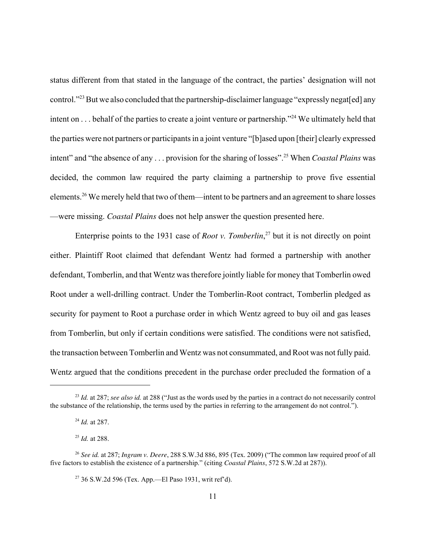status different from that stated in the language of the contract, the parties' designation will not control."<sup>23</sup> But we also concluded that the partnership-disclaimer language "expressly negat[ed] any intent on . . . behalf of the parties to create a joint venture or partnership."<sup>24</sup> We ultimately held that the parties were not partners or participants in a joint venture "[b]ased upon [their] clearly expressed intent" and "the absence of any . . . provision for the sharing of losses".<sup>25</sup> When *Coastal Plains* was decided, the common law required the party claiming a partnership to prove five essential elements.<sup>26</sup> We merely held that two of them—intent to be partners and an agreement to share losses —were missing. *Coastal Plains* does not help answer the question presented here.

Enterprise points to the 1931 case of *Root v. Tomberlin*, <sup>27</sup> but it is not directly on point either. Plaintiff Root claimed that defendant Wentz had formed a partnership with another defendant, Tomberlin, and that Wentz was therefore jointly liable for money that Tomberlin owed Root under a well-drilling contract. Under the Tomberlin-Root contract, Tomberlin pledged as security for payment to Root a purchase order in which Wentz agreed to buy oil and gas leases from Tomberlin, but only if certain conditions were satisfied. The conditions were not satisfied, the transaction between Tomberlin and Wentz was not consummated, and Root was not fully paid. Wentz argued that the conditions precedent in the purchase order precluded the formation of a

<sup>27</sup> 36 S.W.2d 596 (Tex. App.—El Paso 1931, writ ref'd).

<sup>&</sup>lt;sup>23</sup> *Id.* at 287; *see also id.* at 288 ("Just as the words used by the parties in a contract do not necessarily control the substance of the relationship, the terms used by the parties in referring to the arrangement do not control.").

<sup>24</sup> *Id.* at 287.

<sup>25</sup> *Id.* at 288.

<sup>26</sup> *See id.* at 287; *Ingram v. Deere*, 288 S.W.3d 886, 895 (Tex. 2009) ("The common law required proof of all five factors to establish the existence of a partnership." (citing *Coastal Plains*, 572 S.W.2d at 287)).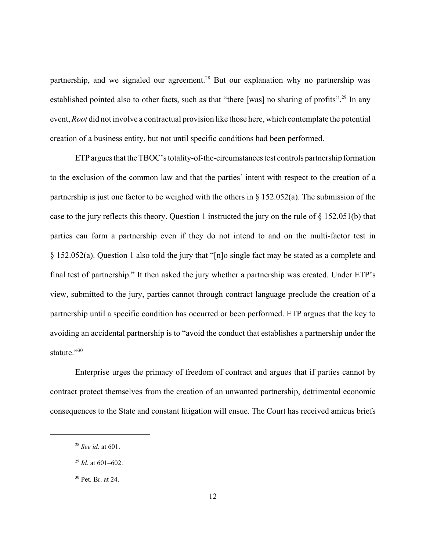partnership, and we signaled our agreement.<sup>28</sup> But our explanation why no partnership was established pointed also to other facts, such as that "there [was] no sharing of profits".<sup>29</sup> In any event, *Root* did not involve a contractual provision like those here, which contemplate the potential creation of a business entity, but not until specific conditions had been performed.

ETP argues that the TBOC's totality-of-the-circumstances test controls partnership formation to the exclusion of the common law and that the parties' intent with respect to the creation of a partnership is just one factor to be weighed with the others in  $\S$  152.052(a). The submission of the case to the jury reflects this theory. Question 1 instructed the jury on the rule of  $\S 152.051(b)$  that parties can form a partnership even if they do not intend to and on the multi-factor test in § 152.052(a). Question 1 also told the jury that "[n]o single fact may be stated as a complete and final test of partnership." It then asked the jury whether a partnership was created. Under ETP's view, submitted to the jury, parties cannot through contract language preclude the creation of a partnership until a specific condition has occurred or been performed. ETP argues that the key to avoiding an accidental partnership is to "avoid the conduct that establishes a partnership under the statute."30

Enterprise urges the primacy of freedom of contract and argues that if parties cannot by contract protect themselves from the creation of an unwanted partnership, detrimental economic consequences to the State and constant litigation will ensue. The Court has received amicus briefs

<sup>28</sup> *See id.* at 601.

<sup>29</sup> *Id.* at 601–602.

<sup>30</sup> Pet. Br. at 24.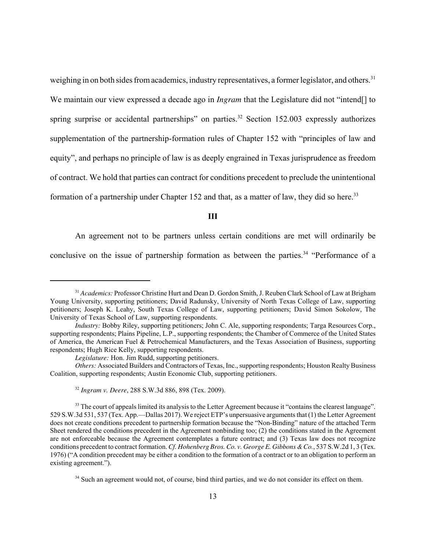weighing in on both sides from academics, industry representatives, a former legislator, and others.<sup>31</sup> We maintain our view expressed a decade ago in *Ingram* that the Legislature did not "intend<sup>[]</sup> to spring surprise or accidental partnerships" on parties.<sup>32</sup> Section 152.003 expressly authorizes supplementation of the partnership-formation rules of Chapter 152 with "principles of law and equity", and perhaps no principle of law is as deeply engrained in Texas jurisprudence as freedom of contract. We hold that parties can contract for conditions precedent to preclude the unintentional formation of a partnership under Chapter 152 and that, as a matter of law, they did so here.<sup>33</sup>

**III**

An agreement not to be partners unless certain conditions are met will ordinarily be conclusive on the issue of partnership formation as between the parties.<sup>34</sup> "Performance of a

<sup>31</sup> *Academics:* Professor Christine Hurt and Dean D. Gordon Smith, J. Reuben Clark School of Law at Brigham Young University, supporting petitioners; David Radunsky, University of North Texas College of Law, supporting petitioners; Joseph K. Leahy, South Texas College of Law, supporting petitioners; David Simon Sokolow, The University of Texas School of Law, supporting respondents.

*Industry:* Bobby Riley, supporting petitioners; John C. Ale, supporting respondents; Targa Resources Corp., supporting respondents; Plains Pipeline, L.P., supporting respondents; the Chamber of Commerce of the United States of America, the American Fuel & Petrochemical Manufacturers, and the Texas Association of Business, supporting respondents; Hugh Rice Kelly, supporting respondents.

*Legislature:* Hon. Jim Rudd, supporting petitioners.

*Others:* Associated Builders and Contractors of Texas, Inc., supporting respondents; Houston Realty Business Coalition, supporting respondents; Austin Economic Club, supporting petitioners.

<sup>32</sup> *Ingram v. Deere*, 288 S.W.3d 886, 898 (Tex. 2009).

 $33$  The court of appeals limited its analysis to the Letter Agreement because it "contains the clearest language". 529 S.W.3d 531, 537 (Tex. App.—Dallas 2017). We reject ETP's unpersuasive arguments that (1) the Letter Agreement does not create conditions precedent to partnership formation because the "Non-Binding" nature of the attached Term Sheet rendered the conditions precedent in the Agreement nonbinding too; (2) the conditions stated in the Agreement are not enforceable because the Agreement contemplates a future contract; and (3) Texas law does not recognize conditions precedent to contract formation. *Cf. Hohenberg Bros. Co. v. George E. Gibbons & Co.*, 537 S.W.2d 1, 3 (Tex. 1976) ("A condition precedent may be either a condition to the formation of a contract or to an obligation to perform an existing agreement.").

<sup>&</sup>lt;sup>34</sup> Such an agreement would not, of course, bind third parties, and we do not consider its effect on them.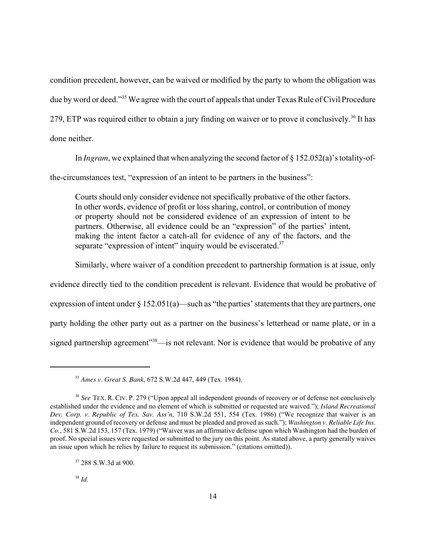condition precedent, however, can be waived or modified by the party to whom the obligation was due by word or deed."<sup>35</sup> We agree with the court of appeals that under Texas Rule of Civil Procedure 279, ETP was required either to obtain a jury finding on waiver or to prove it conclusively.<sup>36</sup> It has done neither.

In *Ingram*, we explained that when analyzing the second factor of § 152.052(a)'s totality-of-

the-circumstances test, "expression of an intent to be partners in the business":

Courts should only consider evidence not specifically probative of the other factors. In other words, evidence of profit or loss sharing, control, or contribution of money or property should not be considered evidence of an expression of intent to be partners. Otherwise, all evidence could be an "expression" of the parties' intent, making the intent factor a catch-all for evidence of any of the factors, and the separate "expression of intent" inquiry would be eviscerated.<sup>37</sup>

Similarly, where waiver of a condition precedent to partnership formation is at issue, only

evidence directly tied to the condition precedent is relevant. Evidence that would be probative of expression of intent under § 152.051(a)—such as "the parties' statements that they are partners, one party holding the other party out as a partner on the business's letterhead or name plate, or in a

signed partnership agreement<sup>"38</sup>—is not relevant. Nor is evidence that would be probative of any

<sup>35</sup> *Ames v. Great S. Bank*, 672 S.W.2d 447, 449 (Tex. 1984).

<sup>36</sup> *See* TEX. R. CIV. P. 279 ("Upon appeal all independent grounds of recovery or of defense not conclusively established under the evidence and no element of which is submitted or requested are waived."); *Island Recreational Dev. Corp. v. Republic of Tex. Sav. Ass'n*, 710 S.W.2d 551, 554 (Tex. 1986) ("We recognize that waiver is an independent ground of recovery or defense and must be pleaded and proved as such."); *Washington v. Reliable Life Ins. Co.*, 581 S.W.2d 153, 157 (Tex. 1979) ("Waiver was an affirmative defense upon which Washington had the burden of proof. No special issues were requested or submitted to the jury on this point. As stated above, a party generally waives an issue upon which he relies by failure to request its submission." (citations omitted)).

<sup>&</sup>lt;sup>37</sup> 288 S.W.3d at 900.

<sup>38</sup> *Id.*